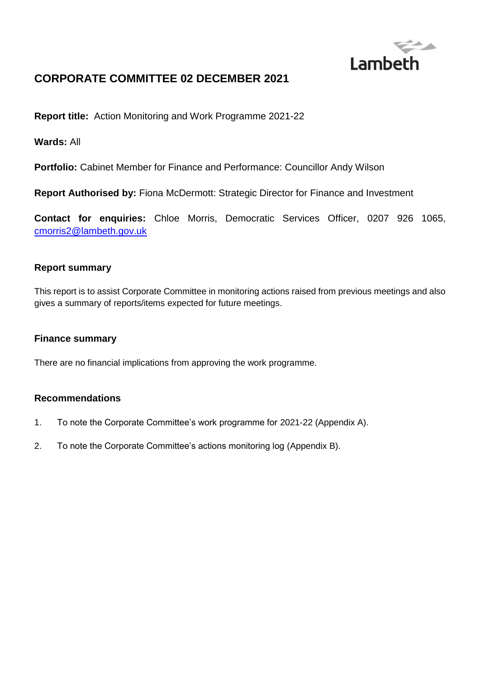

# **CORPORATE COMMITTEE 02 DECEMBER 2021**

**Report title:** Action Monitoring and Work Programme 2021-22

**Wards:** All

**Portfolio:** Cabinet Member for Finance and Performance: Councillor Andy Wilson

**Report Authorised by:** Fiona McDermott: Strategic Director for Finance and Investment

**Contact for enquiries:** Chloe Morris, Democratic Services Officer, 0207 926 1065, [cmorris2@lambeth.gov.uk](mailto:cmorris2@lambeth.gov.uk)

#### **Report summary**

This report is to assist Corporate Committee in monitoring actions raised from previous meetings and also gives a summary of reports/items expected for future meetings.

#### **Finance summary**

There are no financial implications from approving the work programme.

## **Recommendations**

- 1. To note the Corporate Committee's work programme for 2021-22 (Appendix A).
- 2. To note the Corporate Committee's actions monitoring log (Appendix B).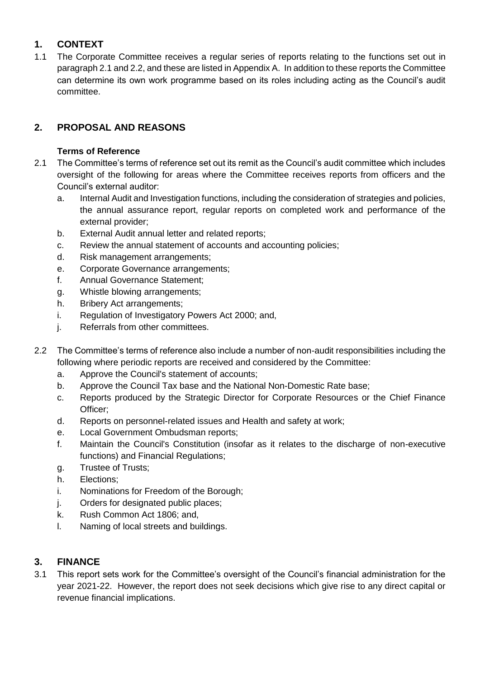# **1. CONTEXT**

1.1 The Corporate Committee receives a regular series of reports relating to the functions set out in paragraph 2.1 and 2.2, and these are listed in Appendix A. In addition to these reports the Committee can determine its own work programme based on its roles including acting as the Council's audit committee.

# **2. PROPOSAL AND REASONS**

# **Terms of Reference**

- 2.1 The Committee's terms of reference set out its remit as the Council's audit committee which includes oversight of the following for areas where the Committee receives reports from officers and the Council's external auditor:
	- a. Internal Audit and Investigation functions, including the consideration of strategies and policies, the annual assurance report, regular reports on completed work and performance of the external provider;
	- b. External Audit annual letter and related reports;
	- c. Review the annual statement of accounts and accounting policies;
	- d. Risk management arrangements;
	- e. Corporate Governance arrangements;
	- f. Annual Governance Statement;
	- g. Whistle blowing arrangements;
	- h. Bribery Act arrangements;
	- i. Regulation of Investigatory Powers Act 2000; and,
	- j. Referrals from other committees.
- 2.2 The Committee's terms of reference also include a number of non-audit responsibilities including the following where periodic reports are received and considered by the Committee:
	- a. Approve the Council's statement of accounts;
	- b. Approve the Council Tax base and the National Non-Domestic Rate base;
	- c. Reports produced by the Strategic Director for Corporate Resources or the Chief Finance Officer;
	- d. Reports on personnel-related issues and Health and safety at work;
	- e. Local Government Ombudsman reports;
	- f. Maintain the Council's Constitution (insofar as it relates to the discharge of non-executive functions) and Financial Regulations;
	- g. Trustee of Trusts;
	- h. Elections;
	- i. Nominations for Freedom of the Borough;
	- j. Orders for designated public places;
	- k. Rush Common Act 1806; and,
	- l. Naming of local streets and buildings.

# **3. FINANCE**

3.1 This report sets work for the Committee's oversight of the Council's financial administration for the year 2021-22. However, the report does not seek decisions which give rise to any direct capital or revenue financial implications.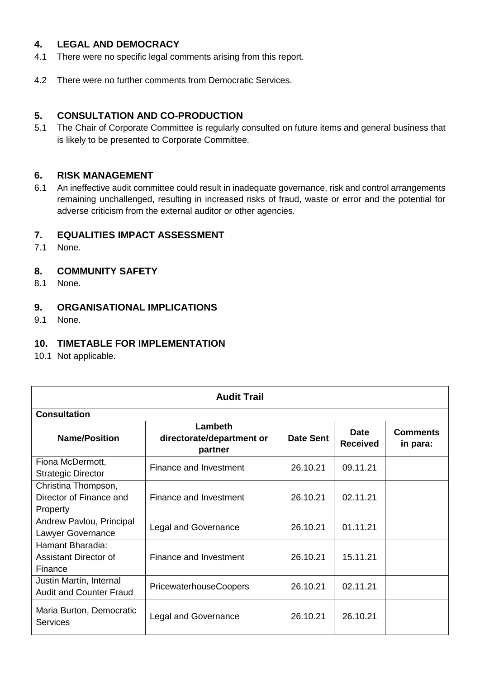## **4. LEGAL AND DEMOCRACY**

- 4.1 There were no specific legal comments arising from this report.
- 4.2 There were no further comments from Democratic Services.

## **5. CONSULTATION AND CO-PRODUCTION**

5.1 The Chair of Corporate Committee is regularly consulted on future items and general business that is likely to be presented to Corporate Committee.

## **6. RISK MANAGEMENT**

6.1 An ineffective audit committee could result in inadequate governance, risk and control arrangements remaining unchallenged, resulting in increased risks of fraud, waste or error and the potential for adverse criticism from the external auditor or other agencies.

## **7. EQUALITIES IMPACT ASSESSMENT**

7.1 None.

## **8. COMMUNITY SAFETY**

8.1 None.

#### **9. ORGANISATIONAL IMPLICATIONS**

9.1 None.

## **10. TIMETABLE FOR IMPLEMENTATION**

10.1 Not applicable.

| <b>Audit Trail</b>                                         |                                                 |                  |                                |                             |  |
|------------------------------------------------------------|-------------------------------------------------|------------------|--------------------------------|-----------------------------|--|
| <b>Consultation</b>                                        |                                                 |                  |                                |                             |  |
| <b>Name/Position</b>                                       | Lambeth<br>directorate/department or<br>partner | <b>Date Sent</b> | <b>Date</b><br><b>Received</b> | <b>Comments</b><br>in para: |  |
| Fiona McDermott,<br><b>Strategic Director</b>              | Finance and Investment                          | 26.10.21         | 09.11.21                       |                             |  |
| Christina Thompson,<br>Director of Finance and<br>Property | Finance and Investment                          | 26.10.21         | 02.11.21                       |                             |  |
| Andrew Pavlou, Principal<br>Lawyer Governance              | <b>Legal and Governance</b>                     | 26.10.21         | 01.11.21                       |                             |  |
| Hamant Bharadia:<br>Assistant Director of<br>Finance       | Finance and Investment                          | 26.10.21         | 15.11.21                       |                             |  |
| Justin Martin, Internal<br><b>Audit and Counter Fraud</b>  | <b>PricewaterhouseCoopers</b>                   | 26.10.21         | 02.11.21                       |                             |  |
| Maria Burton, Democratic<br>Services                       | <b>Legal and Governance</b>                     | 26.10.21         | 26.10.21                       |                             |  |